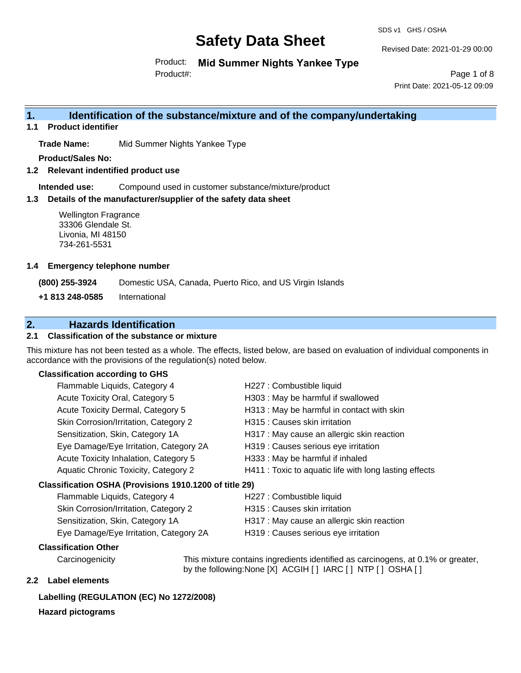SDS v1 GHS / OSHA

Revised Date: 2021-01-29 00:00

Product: **Mid Summer Nights Yankee Type** Product#:

Page 1 of 8 Print Date: 2021-05-12 09:09

# **1. Identification of the substance/mixture and of the company/undertaking**

**1.1 Product identifier**

**Trade Name:** Mid Summer Nights Yankee Type

**Product/Sales No:**

**1.2 Relevant indentified product use**

**Intended use:** Compound used in customer substance/mixture/product

### **1.3 Details of the manufacturer/supplier of the safety data sheet**

Wellington Fragrance 33306 Glendale St. Livonia, MI 48150 734-261-5531

### **1.4 Emergency telephone number**

**(800) 255-3924** Domestic USA, Canada, Puerto Rico, and US Virgin Islands

**+1 813 248-0585** International

# **2. Hazards Identification**

### **2.1 Classification of the substance or mixture**

This mixture has not been tested as a whole. The effects, listed below, are based on evaluation of individual components in accordance with the provisions of the regulation(s) noted below.

# **Classification according to GHS**

| Flammable Liquids, Category 4                          | H227 : Combustible liquid                              |
|--------------------------------------------------------|--------------------------------------------------------|
| Acute Toxicity Oral, Category 5                        | H303 : May be harmful if swallowed                     |
| Acute Toxicity Dermal, Category 5                      | H313 : May be harmful in contact with skin             |
| Skin Corrosion/Irritation, Category 2                  | H315 : Causes skin irritation                          |
| Sensitization, Skin, Category 1A                       | H317 : May cause an allergic skin reaction             |
| Eye Damage/Eye Irritation, Category 2A                 | H319 : Causes serious eye irritation                   |
| Acute Toxicity Inhalation, Category 5                  | H333: May be harmful if inhaled                        |
| Aquatic Chronic Toxicity, Category 2                   | H411 : Toxic to aquatic life with long lasting effects |
| Classification OSHA (Provisions 1910.1200 of title 29) |                                                        |
| Flammable Liquids, Category 4                          | H227 : Combustible liquid                              |
| Skin Corrosion/Irritation, Category 2                  | H315 : Causes skin irritation                          |
| Sensitization, Skin, Category 1A                       | H317 : May cause an allergic skin reaction             |

|  |  |  | Eye Damage/Eye Irritation, Category 2A |  |
|--|--|--|----------------------------------------|--|

I319 : Causes serious eye irritation

### **Classification Other**

Carcinogenicity This mixture contains ingredients identified as carcinogens, at 0.1% or greater, by the following:None [X] ACGIH [ ] IARC [ ] NTP [ ] OSHA [ ]

# **2.2 Label elements**

# **Labelling (REGULATION (EC) No 1272/2008)**

# **Hazard pictograms**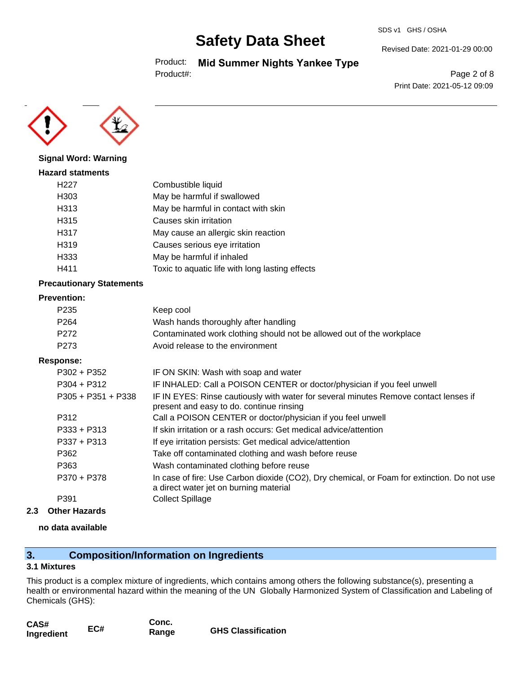#### SDS v1 GHS / OSHA

# **Safety Data Sheet**

Product: **Mid Summer Nights Yankee Type**

Product#:

Revised Date: 2021-01-29 00:00

Page 2 of 8 Print Date: 2021-05-12 09:09



## **Signal Word: Warning**

| <b>Hazard statments</b> |                                                 |
|-------------------------|-------------------------------------------------|
| H <sub>22</sub> 7       | Combustible liquid                              |
| H303                    | May be harmful if swallowed                     |
| H313                    | May be harmful in contact with skin             |
| H315                    | Causes skin irritation                          |
| H317                    | May cause an allergic skin reaction             |
| H319                    | Causes serious eye irritation                   |
| H333                    | May be harmful if inhaled                       |
| H411                    | Toxic to aquatic life with long lasting effects |
|                         |                                                 |

### **Precautionary Statements**

#### **Prevention:**

| P <sub>235</sub> | Keep cool                                                             |
|------------------|-----------------------------------------------------------------------|
| P <sub>264</sub> | Wash hands thoroughly after handling                                  |
| P272             | Contaminated work clothing should not be allowed out of the workplace |
| P273             | Avoid release to the environment                                      |

#### **Response:**

| IF ON SKIN: Wash with soap and water                                                                                                  |
|---------------------------------------------------------------------------------------------------------------------------------------|
| IF INHALED: Call a POISON CENTER or doctor/physician if you feel unwell                                                               |
| IF IN EYES: Rinse cautiously with water for several minutes Remove contact lenses if<br>present and easy to do. continue rinsing      |
| Call a POISON CENTER or doctor/physician if you feel unwell                                                                           |
| If skin irritation or a rash occurs: Get medical advice/attention                                                                     |
| If eye irritation persists: Get medical advice/attention                                                                              |
| Take off contaminated clothing and wash before reuse                                                                                  |
| Wash contaminated clothing before reuse                                                                                               |
| In case of fire: Use Carbon dioxide (CO2), Dry chemical, or Foam for extinction. Do not use<br>a direct water jet on burning material |
| Collect Spillage                                                                                                                      |
|                                                                                                                                       |

## **2.3 Other Hazards**

### **no data available**

# **3. Composition/Information on Ingredients**

### **3.1 Mixtures**

This product is a complex mixture of ingredients, which contains among others the following substance(s), presenting a health or environmental hazard within the meaning of the UN Globally Harmonized System of Classification and Labeling of Chemicals (GHS):

| CAS#       |     | Conc. |                           |
|------------|-----|-------|---------------------------|
| Ingredient | EC# | Range | <b>GHS Classification</b> |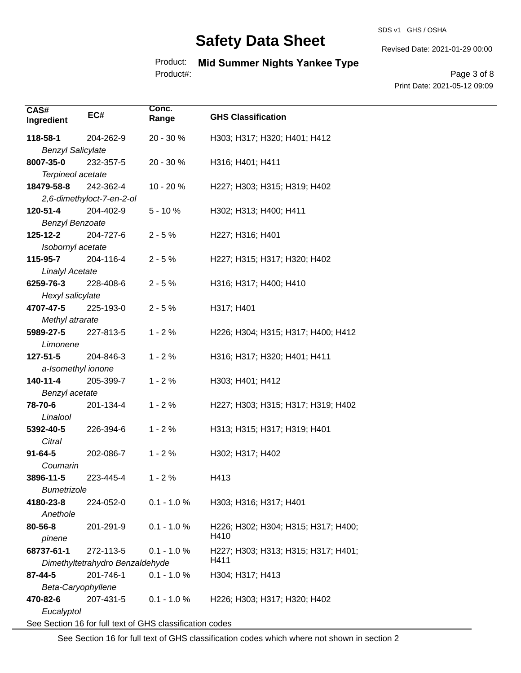#### SDS v1 GHS / OSHA

# **Safety Data Sheet**

Product: **Mid Summer Nights Yankee Type** Product#:

Revised Date: 2021-01-29 00:00

Page 3 of 8 Print Date: 2021-05-12 09:09

| CAS#                     | EC#                             | Conc.                                                    |                                     |
|--------------------------|---------------------------------|----------------------------------------------------------|-------------------------------------|
| Ingredient               |                                 | Range                                                    | <b>GHS Classification</b>           |
| 118-58-1                 | 204-262-9                       | 20 - 30 %                                                | H303; H317; H320; H401; H412        |
| <b>Benzyl Salicylate</b> |                                 |                                                          |                                     |
| 8007-35-0                | 232-357-5                       | 20 - 30 %                                                | H316; H401; H411                    |
| Terpineol acetate        |                                 |                                                          |                                     |
| 18479-58-8               | 242-362-4                       | 10 - 20 %                                                | H227; H303; H315; H319; H402        |
|                          | 2,6-dimethyloct-7-en-2-ol       |                                                          |                                     |
| 120-51-4                 | 204-402-9                       | $5 - 10%$                                                | H302; H313; H400; H411              |
| <b>Benzyl Benzoate</b>   |                                 |                                                          |                                     |
| 125-12-2                 | 204-727-6                       | $2 - 5%$                                                 | H227; H316; H401                    |
| Isobornyl acetate        |                                 |                                                          |                                     |
| 115-95-7                 | 204-116-4                       | $2 - 5%$                                                 | H227; H315; H317; H320; H402        |
| <b>Linalyl Acetate</b>   |                                 |                                                          |                                     |
| 6259-76-3                | 228-408-6                       | $2 - 5%$                                                 | H316; H317; H400; H410              |
| Hexyl salicylate         |                                 |                                                          |                                     |
| 4707-47-5                | 225-193-0                       | $2 - 5%$                                                 | H317; H401                          |
| Methyl atrarate          |                                 |                                                          |                                     |
| 5989-27-5                | 227-813-5                       | $1 - 2%$                                                 | H226; H304; H315; H317; H400; H412  |
| Limonene                 |                                 |                                                          |                                     |
| 127-51-5                 | 204-846-3                       | $1 - 2%$                                                 | H316; H317; H320; H401; H411        |
| a-Isomethyl ionone       |                                 |                                                          |                                     |
| 140-11-4                 | 205-399-7                       | $1 - 2%$                                                 | H303; H401; H412                    |
| Benzyl acetate           |                                 |                                                          |                                     |
| 78-70-6                  | 201-134-4                       | $1 - 2%$                                                 | H227; H303; H315; H317; H319; H402  |
| Linalool                 |                                 |                                                          |                                     |
| 5392-40-5                | 226-394-6                       | $1 - 2%$                                                 | H313; H315; H317; H319; H401        |
| Citral                   |                                 |                                                          |                                     |
| $91 - 64 - 5$            | 202-086-7                       | $1 - 2%$                                                 | H302; H317; H402                    |
| Coumarin                 |                                 |                                                          |                                     |
| 3896-11-5                | 223-445-4                       | $1 - 2%$                                                 | H413                                |
| <b>Bumetrizole</b>       |                                 |                                                          |                                     |
| 4180-23-8                | 224-052-0                       | $0.1 - 1.0 %$                                            | H303; H316; H317; H401              |
| Anethole                 |                                 |                                                          |                                     |
| 80-56-8                  | 201-291-9                       | $0.1 - 1.0 %$                                            | H226; H302; H304; H315; H317; H400; |
| pinene                   |                                 |                                                          | H410                                |
| 68737-61-1               | 272-113-5                       | $0.1 - 1.0 %$                                            | H227; H303; H313; H315; H317; H401; |
|                          | Dimethyltetrahydro Benzaldehyde |                                                          | H411                                |
| $87 - 44 - 5$            | 201-746-1                       | $0.1 - 1.0 %$                                            | H304; H317; H413                    |
| Beta-Caryophyllene       |                                 |                                                          |                                     |
| 470-82-6                 | 207-431-5                       | $0.1 - 1.0 %$                                            | H226; H303; H317; H320; H402        |
| Eucalyptol               |                                 |                                                          |                                     |
|                          |                                 | See Section 16 for full text of GHS classification codes |                                     |

See Section 16 for full text of GHS classification codes which where not shown in section 2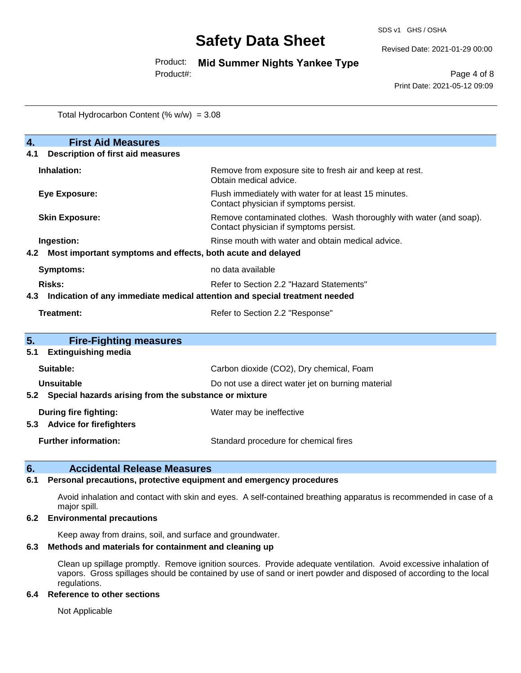Revised Date: 2021-01-29 00:00

Product: **Mid Summer Nights Yankee Type**

Product#:

Page 4 of 8 Print Date: 2021-05-12 09:09

Total Hydrocarbon Content  $(\% w/w) = 3.08$ 

| $\overline{4}$ .<br><b>First Aid Measures</b>                                     |                                                                                                               |  |  |
|-----------------------------------------------------------------------------------|---------------------------------------------------------------------------------------------------------------|--|--|
| <b>Description of first aid measures</b><br>4.1                                   |                                                                                                               |  |  |
| Inhalation:                                                                       | Remove from exposure site to fresh air and keep at rest.<br>Obtain medical advice.                            |  |  |
| <b>Eye Exposure:</b>                                                              | Flush immediately with water for at least 15 minutes.<br>Contact physician if symptoms persist.               |  |  |
| <b>Skin Exposure:</b>                                                             | Remove contaminated clothes. Wash thoroughly with water (and soap).<br>Contact physician if symptoms persist. |  |  |
| Ingestion:                                                                        | Rinse mouth with water and obtain medical advice.                                                             |  |  |
| Most important symptoms and effects, both acute and delayed<br>4.2                |                                                                                                               |  |  |
| <b>Symptoms:</b>                                                                  | no data available                                                                                             |  |  |
| Risks:                                                                            | Refer to Section 2.2 "Hazard Statements"                                                                      |  |  |
| Indication of any immediate medical attention and special treatment needed<br>4.3 |                                                                                                               |  |  |
| Treatment:                                                                        | Refer to Section 2.2 "Response"                                                                               |  |  |
| 5.<br><b>Fire-Fighting measures</b>                                               |                                                                                                               |  |  |
| <b>Extinguishing media</b><br>5.1                                                 |                                                                                                               |  |  |
| Suitable:                                                                         | Carbon dioxide (CO2), Dry chemical, Foam                                                                      |  |  |
| Unsuitable                                                                        | Do not use a direct water jet on burning material                                                             |  |  |
| 5.2 Special hazards arising from the substance or mixture                         |                                                                                                               |  |  |
| <b>During fire fighting:</b>                                                      | Water may be ineffective                                                                                      |  |  |
| <b>Advice for firefighters</b><br>5.3                                             |                                                                                                               |  |  |
| <b>Further information:</b>                                                       | Standard procedure for chemical fires                                                                         |  |  |

### **6. Accidental Release Measures**

### **6.1 Personal precautions, protective equipment and emergency procedures**

Avoid inhalation and contact with skin and eyes. A self-contained breathing apparatus is recommended in case of a major spill.

### **6.2 Environmental precautions**

Keep away from drains, soil, and surface and groundwater.

## **6.3 Methods and materials for containment and cleaning up**

Clean up spillage promptly. Remove ignition sources. Provide adequate ventilation. Avoid excessive inhalation of vapors. Gross spillages should be contained by use of sand or inert powder and disposed of according to the local regulations.

### **6.4 Reference to other sections**

Not Applicable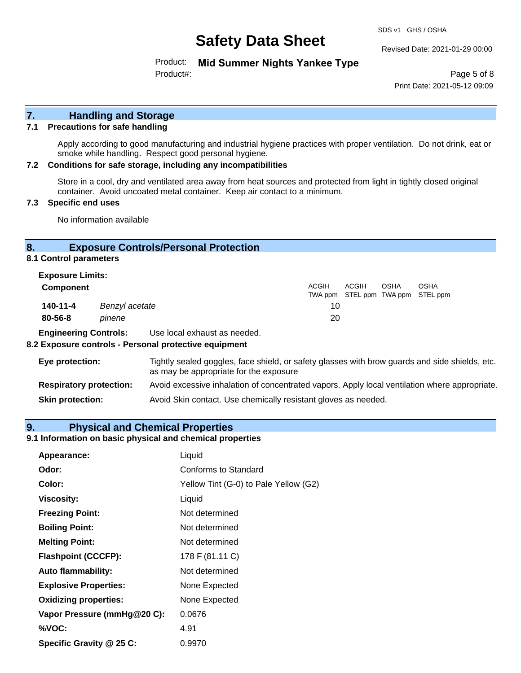SDS v1 GHS / OSHA

Revised Date: 2021-01-29 00:00

Product: **Mid Summer Nights Yankee Type** Product#:

Page 5 of 8 Print Date: 2021-05-12 09:09

# **7. Handling and Storage**

### **7.1 Precautions for safe handling**

Apply according to good manufacturing and industrial hygiene practices with proper ventilation. Do not drink, eat or smoke while handling. Respect good personal hygiene.

### **7.2 Conditions for safe storage, including any incompatibilities**

Store in a cool, dry and ventilated area away from heat sources and protected from light in tightly closed original container. Avoid uncoated metal container. Keep air contact to a minimum.

### **7.3 Specific end uses**

No information available

## **8. Exposure Controls/Personal Protection**

**8.1 Control parameters**

| <b>Exposure Limits:</b><br><b>Component</b> |                | <b>ACGIH</b> | ACGIH                             | OSHA | <b>OSHA</b> |  |
|---------------------------------------------|----------------|--------------|-----------------------------------|------|-------------|--|
|                                             |                |              | TWA ppm STEL ppm TWA ppm STEL ppm |      |             |  |
| 140-11-4                                    | Benzyl acetate | 10           |                                   |      |             |  |
| $80 - 56 - 8$                               | pinene         | 20           |                                   |      |             |  |
|                                             |                |              |                                   |      |             |  |

**Engineering Controls:** Use local exhaust as needed.

#### **8.2 Exposure controls - Personal protective equipment**

| Eye protection:                | Tightly sealed goggles, face shield, or safety glasses with brow guards and side shields, etc.<br>as may be appropriate for the exposure |
|--------------------------------|------------------------------------------------------------------------------------------------------------------------------------------|
| <b>Respiratory protection:</b> | Avoid excessive inhalation of concentrated vapors. Apply local ventilation where appropriate.                                            |
| <b>Skin protection:</b>        | Avoid Skin contact. Use chemically resistant gloves as needed.                                                                           |

### **9. Physical and Chemical Properties**

# **9.1 Information on basic physical and chemical properties**

| Appearance:                  | Liquid                                |
|------------------------------|---------------------------------------|
| Odor:                        | Conforms to Standard                  |
| Color:                       | Yellow Tint (G-0) to Pale Yellow (G2) |
| <b>Viscosity:</b>            | Liquid                                |
| <b>Freezing Point:</b>       | Not determined                        |
| <b>Boiling Point:</b>        | Not determined                        |
| <b>Melting Point:</b>        | Not determined                        |
| <b>Flashpoint (CCCFP):</b>   | 178 F (81.11 C)                       |
| <b>Auto flammability:</b>    | Not determined                        |
| <b>Explosive Properties:</b> | None Expected                         |
| <b>Oxidizing properties:</b> | None Expected                         |
| Vapor Pressure (mmHg@20 C):  | 0.0676                                |
| %VOC:                        | 4.91                                  |
| Specific Gravity @ 25 C:     | 0.9970                                |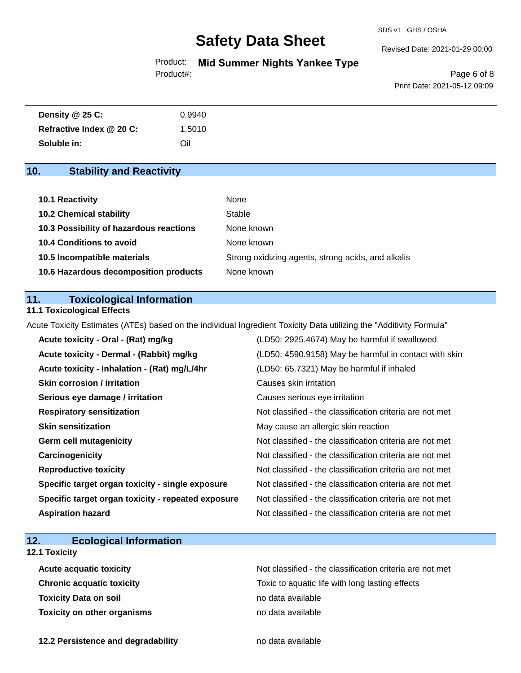SDS v1 GHS / OSHA

Revised Date: 2021-01-29 00:00

Product: **Mid Summer Nights Yankee Type** Product#:

Page 6 of 8 Print Date: 2021-05-12 09:09

| Density @ 25 C:          | 0.9940 |
|--------------------------|--------|
| Refractive Index @ 20 C: | 1.5010 |
| Soluble in:              | Oil    |

# **10. Stability and Reactivity**

| 10.1 Reactivity                         | None                                               |
|-----------------------------------------|----------------------------------------------------|
| <b>10.2 Chemical stability</b>          | Stable                                             |
| 10.3 Possibility of hazardous reactions | None known                                         |
| <b>10.4 Conditions to avoid</b>         | None known                                         |
| 10.5 Incompatible materials             | Strong oxidizing agents, strong acids, and alkalis |
| 10.6 Hazardous decomposition products   | None known                                         |

# **11. Toxicological Information**

## **11.1 Toxicological Effects**

Acute Toxicity Estimates (ATEs) based on the individual Ingredient Toxicity Data utilizing the "Additivity Formula"

| Acute toxicity - Oral - (Rat) mg/kg                | (LD50: 2925.4674) May be harmful if swallowed            |
|----------------------------------------------------|----------------------------------------------------------|
| Acute toxicity - Dermal - (Rabbit) mg/kg           | (LD50: 4590.9158) May be harmful in contact with skin    |
| Acute toxicity - Inhalation - (Rat) mg/L/4hr       | (LD50: 65.7321) May be harmful if inhaled                |
| <b>Skin corrosion / irritation</b>                 | Causes skin irritation                                   |
| Serious eye damage / irritation                    | Causes serious eye irritation                            |
| <b>Respiratory sensitization</b>                   | Not classified - the classification criteria are not met |
| <b>Skin sensitization</b>                          | May cause an allergic skin reaction                      |
| <b>Germ cell mutagenicity</b>                      | Not classified - the classification criteria are not met |
| Carcinogenicity                                    | Not classified - the classification criteria are not met |
| <b>Reproductive toxicity</b>                       | Not classified - the classification criteria are not met |
| Specific target organ toxicity - single exposure   | Not classified - the classification criteria are not met |
| Specific target organ toxicity - repeated exposure | Not classified - the classification criteria are not met |
| <b>Aspiration hazard</b>                           | Not classified - the classification criteria are not met |

# **12. Ecological Information**

# **12.1 Toxicity**

| <b>Acute acquatic toxicity</b>     | Not classified - the classification criteria are not met |
|------------------------------------|----------------------------------------------------------|
| <b>Chronic acquatic toxicity</b>   | Toxic to aquatic life with long lasting effects          |
| <b>Toxicity Data on soil</b>       | no data available                                        |
| <b>Toxicity on other organisms</b> | no data available                                        |

**12.2 Persistence and degradability no data available**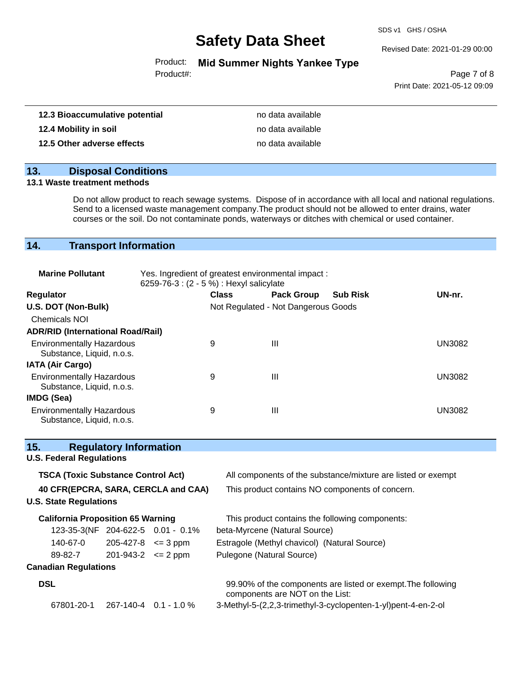SDS v1 GHS / OSHA

Revised Date: 2021-01-29 00:00

Product: **Mid Summer Nights Yankee Type**

Product#:

Page 7 of 8 Print Date: 2021-05-12 09:09

| 12.3 Bioaccumulative potential | no data available |
|--------------------------------|-------------------|
| 12.4 Mobility in soil          | no data available |
| 12.5 Other adverse effects     | no data available |

# **13. Disposal Conditions**

### **13.1 Waste treatment methods**

Do not allow product to reach sewage systems. Dispose of in accordance with all local and national regulations. Send to a licensed waste management company.The product should not be allowed to enter drains, water courses or the soil. Do not contaminate ponds, waterways or ditches with chemical or used container.

# **14. Transport Information**

| <b>Marine Pollutant</b>                                       | Yes. Ingredient of greatest environmental impact:<br>6259-76-3 : (2 - 5 %) : Hexyl salicylate |              |                                     |                 |               |
|---------------------------------------------------------------|-----------------------------------------------------------------------------------------------|--------------|-------------------------------------|-----------------|---------------|
| <b>Regulator</b>                                              |                                                                                               | <b>Class</b> | <b>Pack Group</b>                   | <b>Sub Risk</b> | UN-nr.        |
| U.S. DOT (Non-Bulk)                                           |                                                                                               |              | Not Regulated - Not Dangerous Goods |                 |               |
| <b>Chemicals NOI</b>                                          |                                                                                               |              |                                     |                 |               |
| <b>ADR/RID (International Road/Rail)</b>                      |                                                                                               |              |                                     |                 |               |
| <b>Environmentally Hazardous</b><br>Substance, Liquid, n.o.s. |                                                                                               | 9            | Ш                                   |                 | <b>UN3082</b> |
| <b>IATA (Air Cargo)</b>                                       |                                                                                               |              |                                     |                 |               |
| <b>Environmentally Hazardous</b><br>Substance, Liquid, n.o.s. |                                                                                               | 9            | Ш                                   |                 | <b>UN3082</b> |
| IMDG (Sea)                                                    |                                                                                               |              |                                     |                 |               |
| <b>Environmentally Hazardous</b><br>Substance, Liquid, n.o.s. |                                                                                               | 9            | Ш                                   |                 | UN3082        |

| 15.                                       |                                   | <b>Regulatory Information</b>                                |                                                                                                 |
|-------------------------------------------|-----------------------------------|--------------------------------------------------------------|-------------------------------------------------------------------------------------------------|
|                                           | <b>U.S. Federal Regulations</b>   |                                                              |                                                                                                 |
| <b>TSCA (Toxic Substance Control Act)</b> |                                   | All components of the substance/mixture are listed or exempt |                                                                                                 |
| 40 CFR(EPCRA, SARA, CERCLA and CAA)       |                                   | This product contains NO components of concern.              |                                                                                                 |
|                                           | <b>U.S. State Regulations</b>     |                                                              |                                                                                                 |
| <b>California Proposition 65 Warning</b>  |                                   | This product contains the following components:              |                                                                                                 |
|                                           | 123-35-3(NF 204-622-5 0.01 - 0.1% |                                                              | beta-Myrcene (Natural Source)                                                                   |
|                                           | 140-67-0                          | $205 - 427 - 8 \leq 3$ ppm                                   | Estragole (Methyl chavicol) (Natural Source)                                                    |
|                                           | $89-82-7$ 201-943-2 $\leq$ 2 ppm  |                                                              | Pulegone (Natural Source)                                                                       |
|                                           | <b>Canadian Regulations</b>       |                                                              |                                                                                                 |
|                                           | <b>DSL</b>                        |                                                              | 99.90% of the components are listed or exempt. The following<br>components are NOT on the List: |
|                                           | 67801-20-1                        | 267-140-4  0.1 - 1.0 %                                       | 3-Methyl-5-(2,2,3-trimethyl-3-cyclopenten-1-yl)pent-4-en-2-ol                                   |
|                                           |                                   |                                                              |                                                                                                 |